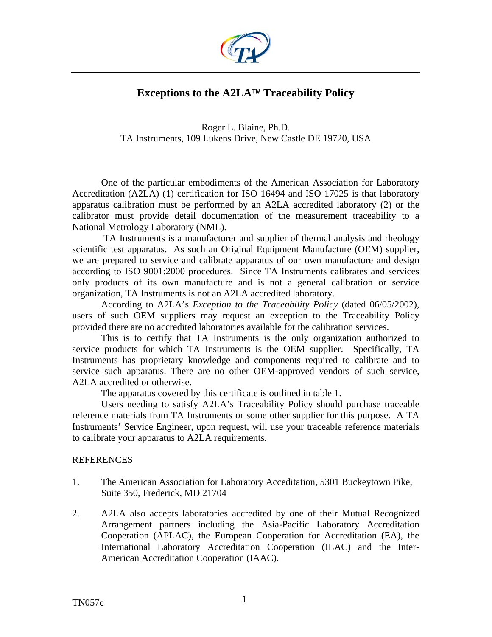

## **Exceptions to the A2LA**™ **Traceability Policy**

Roger L. Blaine, Ph.D. TA Instruments, 109 Lukens Drive, New Castle DE 19720, USA

One of the particular embodiments of the American Association for Laboratory Accreditation (A2LA) (1) certification for ISO 16494 and ISO 17025 is that laboratory apparatus calibration must be performed by an A2LA accredited laboratory (2) or the calibrator must provide detail documentation of the measurement traceability to a National Metrology Laboratory (NML).

 TA Instruments is a manufacturer and supplier of thermal analysis and rheology scientific test apparatus. As such an Original Equipment Manufacture (OEM) supplier, we are prepared to service and calibrate apparatus of our own manufacture and design according to ISO 9001:2000 procedures. Since TA Instruments calibrates and services only products of its own manufacture and is not a general calibration or service organization, TA Instruments is not an A2LA accredited laboratory.

According to A2LA's *Exception to the Traceability Policy* (dated 06/05/2002), users of such OEM suppliers may request an exception to the Traceability Policy provided there are no accredited laboratories available for the calibration services.

This is to certify that TA Instruments is the only organization authorized to service products for which TA Instruments is the OEM supplier. Specifically, TA Instruments has proprietary knowledge and components required to calibrate and to service such apparatus. There are no other OEM-approved vendors of such service, A2LA accredited or otherwise.

The apparatus covered by this certificate is outlined in table 1.

Users needing to satisfy A2LA's Traceability Policy should purchase traceable reference materials from TA Instruments or some other supplier for this purpose. A TA Instruments' Service Engineer, upon request, will use your traceable reference materials to calibrate your apparatus to A2LA requirements.

## **REFERENCES**

- 1. The American Association for Laboratory Acceditation, 5301 Buckeytown Pike, Suite 350, Frederick, MD 21704
- 2. A2LA also accepts laboratories accredited by one of their Mutual Recognized Arrangement partners including the Asia-Pacific Laboratory Accreditation Cooperation (APLAC), the European Cooperation for Accreditation (EA), the International Laboratory Accreditation Cooperation (ILAC) and the Inter-American Accreditation Cooperation (IAAC).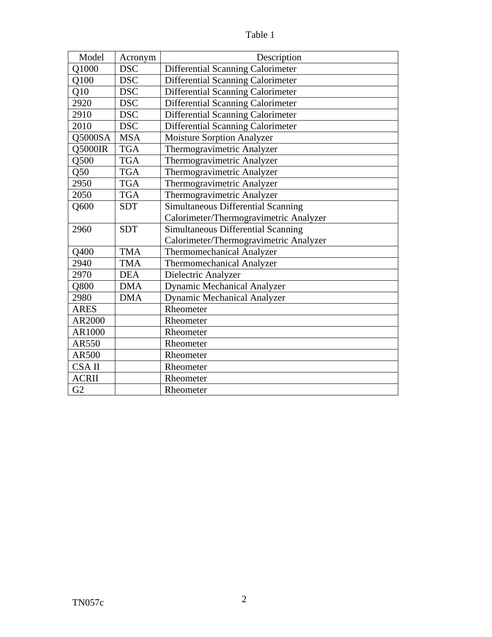| anie |  |
|------|--|
|      |  |

| Model        | Acronym    | Description                              |
|--------------|------------|------------------------------------------|
| Q1000        | <b>DSC</b> | Differential Scanning Calorimeter        |
| Q100         | <b>DSC</b> | Differential Scanning Calorimeter        |
| Q10          | <b>DSC</b> | Differential Scanning Calorimeter        |
| 2920         | <b>DSC</b> | Differential Scanning Calorimeter        |
| 2910         | <b>DSC</b> | <b>Differential Scanning Calorimeter</b> |
| 2010         | <b>DSC</b> | Differential Scanning Calorimeter        |
| Q5000SA      | <b>MSA</b> | <b>Moisture Sorption Analyzer</b>        |
| Q5000IR      | <b>TGA</b> | Thermogravimetric Analyzer               |
| Q500         | <b>TGA</b> | Thermogravimetric Analyzer               |
| Q50          | <b>TGA</b> | Thermogravimetric Analyzer               |
| 2950         | <b>TGA</b> | Thermogravimetric Analyzer               |
| 2050         | <b>TGA</b> | Thermogravimetric Analyzer               |
| Q600         | <b>SDT</b> | Simultaneous Differential Scanning       |
|              |            | Calorimeter/Thermogravimetric Analyzer   |
| 2960         | <b>SDT</b> | Simultaneous Differential Scanning       |
|              |            | Calorimeter/Thermogravimetric Analyzer   |
| Q400         | <b>TMA</b> | <b>Thermomechanical Analyzer</b>         |
| 2940         | <b>TMA</b> | Thermomechanical Analyzer                |
| 2970         | <b>DEA</b> | Dielectric Analyzer                      |
| Q800         | <b>DMA</b> | <b>Dynamic Mechanical Analyzer</b>       |
| 2980         | <b>DMA</b> | <b>Dynamic Mechanical Analyzer</b>       |
| <b>ARES</b>  |            | Rheometer                                |
| AR2000       |            | Rheometer                                |
| AR1000       |            | Rheometer                                |
| AR550        |            | Rheometer                                |
| AR500        |            | Rheometer                                |
| CSA II       |            | Rheometer                                |
| <b>ACRII</b> |            | Rheometer                                |
| G2           |            | Rheometer                                |